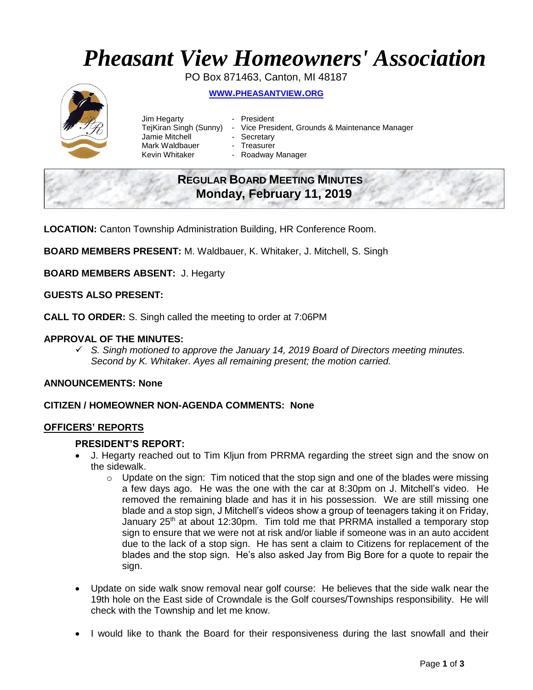# *Pheasant View Homeowners' Association*

PO Box 871463, Canton, MI 48187

## **WWW.[PHEASANTVIEW](http://www.pheasantview.org/).ORG**



- Jim Hegarty  **President** Jamie Mitchell - Secretary Mark Waldbauer **- Treasurer<br>Kevin Whitaker - Roadway** 
	-
- TejKiran Singh (Sunny) Vice President, Grounds & Maintenance Manager
	-
	- - Roadway Manager

## **REGULAR BOARD MEETING MINUTES Monday, February 11, 2019**

**LOCATION:** Canton Township Administration Building, HR Conference Room.

**BOARD MEMBERS PRESENT:** M. Waldbauer, K. Whitaker, J. Mitchell, S. Singh

**BOARD MEMBERS ABSENT:** J. Hegarty

#### **GUESTS ALSO PRESENT:**

**CALL TO ORDER:** S. Singh called the meeting to order at 7:06PM

## **APPROVAL OF THE MINUTES:**

✓ *S. Singh motioned to approve the January 14, 2019 Board of Directors meeting minutes. Second by K. Whitaker. Ayes all remaining present; the motion carried.*

## **ANNOUNCEMENTS: None**

#### **CITIZEN / HOMEOWNER NON-AGENDA COMMENTS: None**

#### **OFFICERS' REPORTS**

#### **PRESIDENT'S REPORT:**

- J. Hegarty reached out to Tim Kljun from PRRMA regarding the street sign and the snow on the sidewalk.
	- $\circ$  Update on the sign: Tim noticed that the stop sign and one of the blades were missing a few days ago. He was the one with the car at 8:30pm on J. Mitchell's video. He removed the remaining blade and has it in his possession. We are still missing one blade and a stop sign, J Mitchell's videos show a group of teenagers taking it on Friday, January 25<sup>th</sup> at about 12:30pm. Tim told me that PRRMA installed a temporary stop sign to ensure that we were not at risk and/or liable if someone was in an auto accident due to the lack of a stop sign. He has sent a claim to Citizens for replacement of the blades and the stop sign. He's also asked Jay from Big Bore for a quote to repair the sign.
- Update on side walk snow removal near golf course: He believes that the side walk near the 19th hole on the East side of Crowndale is the Golf courses/Townships responsibility. He will check with the Township and let me know.
- I would like to thank the Board for their responsiveness during the last snowfall and their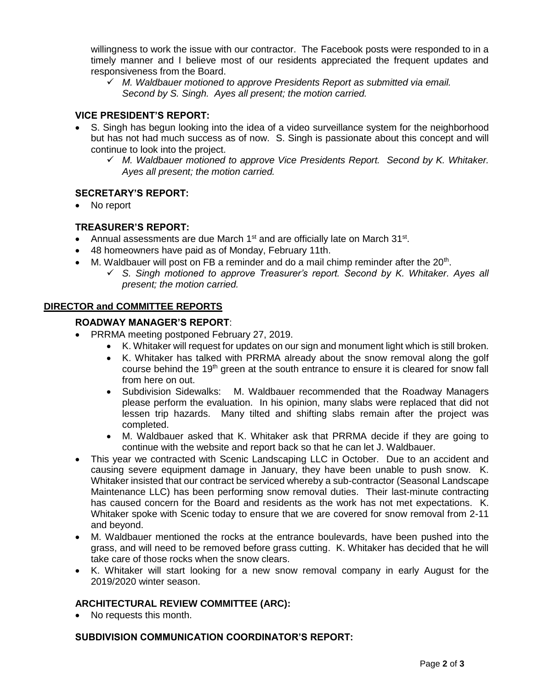willingness to work the issue with our contractor. The Facebook posts were responded to in a timely manner and I believe most of our residents appreciated the frequent updates and responsiveness from the Board.

✓ *M. Waldbauer motioned to approve Presidents Report as submitted via email. Second by S. Singh. Ayes all present; the motion carried.* 

## **VICE PRESIDENT'S REPORT:**

- S. Singh has begun looking into the idea of a video surveillance system for the neighborhood but has not had much success as of now. S. Singh is passionate about this concept and will continue to look into the project.
	- ✓ *M. Waldbauer motioned to approve Vice Presidents Report. Second by K. Whitaker. Ayes all present; the motion carried.*

## **SECRETARY'S REPORT:**

No report

## **TREASURER'S REPORT:**

- Annual assessments are due March  $1<sup>st</sup>$  and are officially late on March  $31<sup>st</sup>$ .
- 48 homeowners have paid as of Monday, February 11th.
- $\bullet$  M. Waldbauer will post on FB a reminder and do a mail chimp reminder after the 20<sup>th</sup>.
	- ✓ *S. Singh motioned to approve Treasurer's report. Second by K. Whitaker. Ayes all present; the motion carried.*

## **DIRECTOR and COMMITTEE REPORTS**

## **ROADWAY MANAGER'S REPORT**:

- PRRMA meeting postponed February 27, 2019.
	- K. Whitaker will request for updates on our sign and monument light which is still broken.
	- K. Whitaker has talked with PRRMA already about the snow removal along the golf course behind the 19<sup>th</sup> green at the south entrance to ensure it is cleared for snow fall from here on out.
	- Subdivision Sidewalks: M. Waldbauer recommended that the Roadway Managers please perform the evaluation. In his opinion, many slabs were replaced that did not lessen trip hazards. Many tilted and shifting slabs remain after the project was completed.
	- M. Waldbauer asked that K. Whitaker ask that PRRMA decide if they are going to continue with the website and report back so that he can let J. Waldbauer.
- This year we contracted with Scenic Landscaping LLC in October. Due to an accident and causing severe equipment damage in January, they have been unable to push snow. K. Whitaker insisted that our contract be serviced whereby a sub-contractor (Seasonal Landscape Maintenance LLC) has been performing snow removal duties. Their last-minute contracting has caused concern for the Board and residents as the work has not met expectations. K. Whitaker spoke with Scenic today to ensure that we are covered for snow removal from 2-11 and beyond.
- M. Waldbauer mentioned the rocks at the entrance boulevards, have been pushed into the grass, and will need to be removed before grass cutting. K. Whitaker has decided that he will take care of those rocks when the snow clears.
- K. Whitaker will start looking for a new snow removal company in early August for the 2019/2020 winter season.

## **ARCHITECTURAL REVIEW COMMITTEE (ARC):**

• No requests this month.

#### **SUBDIVISION COMMUNICATION COORDINATOR'S REPORT:**